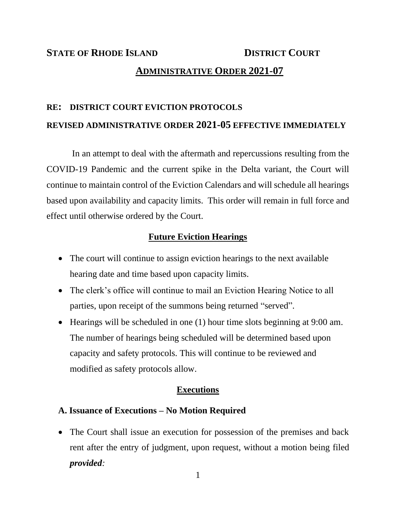# **STATE OF RHODE ISLAND DISTRICT COURT ADMINISTRATIVE ORDER 2021-07**

## **RE: DISTRICT COURT EVICTION PROTOCOLS REVISED ADMINISTRATIVE ORDER 2021-05 EFFECTIVE IMMEDIATELY**

In an attempt to deal with the aftermath and repercussions resulting from the COVID-19 Pandemic and the current spike in the Delta variant, the Court will continue to maintain control of the Eviction Calendars and will schedule all hearings based upon availability and capacity limits. This order will remain in full force and effect until otherwise ordered by the Court.

#### **Future Eviction Hearings**

- The court will continue to assign eviction hearings to the next available hearing date and time based upon capacity limits.
- The clerk's office will continue to mail an Eviction Hearing Notice to all parties, upon receipt of the summons being returned "served".
- Hearings will be scheduled in one (1) hour time slots beginning at 9:00 am. The number of hearings being scheduled will be determined based upon capacity and safety protocols. This will continue to be reviewed and modified as safety protocols allow.

#### **Executions**

#### **A. Issuance of Executions – No Motion Required**

• The Court shall issue an execution for possession of the premises and back rent after the entry of judgment, upon request, without a motion being filed *provided:*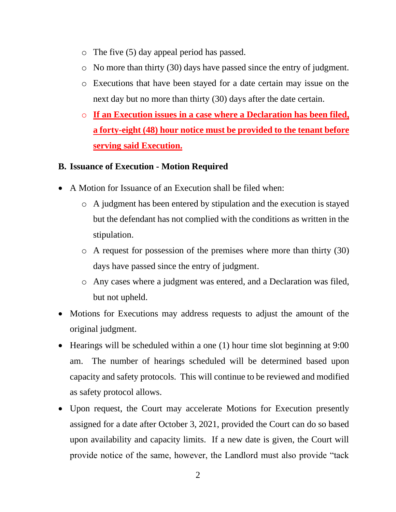- o The five (5) day appeal period has passed.
- o No more than thirty (30) days have passed since the entry of judgment.
- o Executions that have been stayed for a date certain may issue on the next day but no more than thirty (30) days after the date certain.
- o **If an Execution issues in a case where a Declaration has been filed, a forty-eight (48) hour notice must be provided to the tenant before serving said Execution.**

#### **B. Issuance of Execution - Motion Required**

- A Motion for Issuance of an Execution shall be filed when:
	- o A judgment has been entered by stipulation and the execution is stayed but the defendant has not complied with the conditions as written in the stipulation.
	- o A request for possession of the premises where more than thirty (30) days have passed since the entry of judgment.
	- o Any cases where a judgment was entered, and a Declaration was filed, but not upheld.
- Motions for Executions may address requests to adjust the amount of the original judgment.
- Hearings will be scheduled within a one (1) hour time slot beginning at 9:00 am. The number of hearings scheduled will be determined based upon capacity and safety protocols. This will continue to be reviewed and modified as safety protocol allows.
- Upon request, the Court may accelerate Motions for Execution presently assigned for a date after October 3, 2021, provided the Court can do so based upon availability and capacity limits. If a new date is given, the Court will provide notice of the same, however, the Landlord must also provide "tack